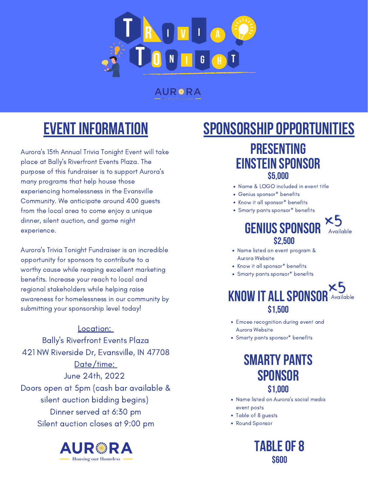

**AURS RA** 

### **Presenting einstein sponsor \$5,000**

- Name & LOGO included in event title
- Genius sponsor\* benefits
- Know it all sponsor\* benefits
- Smarty pants sponsor\* benefits



- Aurora Website
- Know it all sponsor\* benefits
- Smarty pants sponsor\* benefits

- Emcee recognition during event and Aurora Website
- Smarty pants sponsor\* benefits

Name listed on event program &

- Name listed on Aurora ' s social media event posts
- Table of 8 guests
- Round Sponsor

Aurora ' s 15th Annual Trivia Tonight Event will take place at Bally ' s Riverfront Events Plaza. The purpose of this fundraiser is to support Aurora ' s many programs that help house those experiencing homelessness in the Evansville Community. We anticipate around 400 guests from the local area to come enjoy a unique dinner, silent auction, and game night experience.





Aurora 's Trivia Tonight Fundraiser is an incredible

## SPONSORSHIP OPPORTUNITIES

opportunity for sponsors to contribute to a worthy cause while reaping excellent marketing benefits. Increase your reach to local and regional stakeholders while helping raise awareness for homelessness in our community by submitting your sponsorship level today!

## **Eventinformation**

#### Location:

Bally ' s Riverfront Events Plaza 421 NW Riverside Dr, Evansville, IN 47708 Date/time: June 24th, 2022 Doors open at 5pm (cash bar available & silent auction bidding begins) Dinner served at 6:30 pm Silent auction closes at 9:00 pm